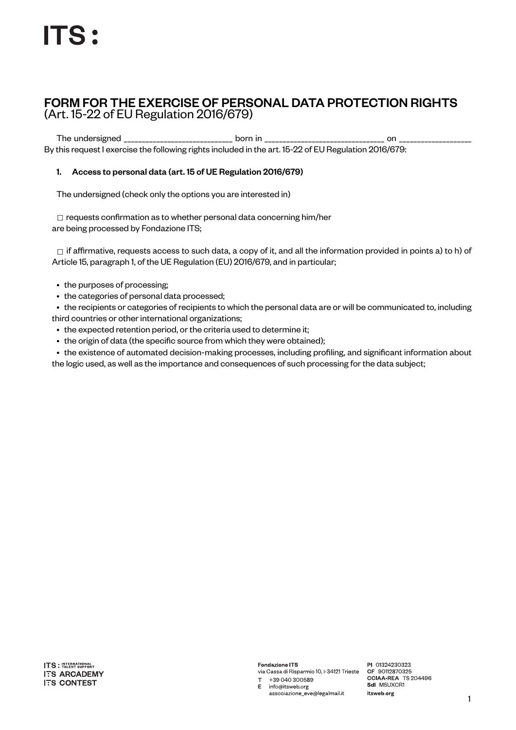# FORM FOR THE EXERCISE OF PERSONAL DATA PROTECTION RIGHTS (Art. 15-22 of EU Regulation 2016/679)

The undersigned \_\_\_\_\_\_\_\_\_\_\_\_\_\_\_\_\_\_\_\_\_\_\_\_\_\_\_\_\_\_ born in \_\_\_\_\_\_\_\_\_\_\_\_\_\_\_\_\_\_\_\_\_\_\_\_\_\_\_\_\_\_\_\_\_ on \_\_\_\_\_\_\_\_\_\_\_\_\_\_\_\_\_\_\_\_ By this request I exercise the following rights included in the art. 15-22 of EU Regulation 2016/679:

## 1. Access to personal data (art. 15 of UE Regulation 2016/679)

The undersigned (check only the options you are interested in)

□ requests confirmation as to whether personal data concerning him/her are being processed by Fondazione ITS;

 $\Box$  if affirmative, requests access to such data, a copy of it, and all the information provided in points a) to h) of Article 15, paragraph 1, of the UE Regulation (EU) 2016/679, and in particular;

- the purposes of processing;
- the categories of personal data processed;

• the recipients or categories of recipients to which the personal data are or will be communicated to, including third countries or other international organizations;

- the expected retention period, or the criteria used to determine it;
- the origin of data (the specific source from which they were obtained);

• the existence of automated decision-making processes, including profiling, and significant information about the logic used, as well as the importance and consequences of such processing for the data subject;

**ITS**: INTERNATIONAL **ITS ARCADEMY ITS CONTEST** 

**Fondazione ITS** via Cassa di Risparmio 10, I-34121 Trieste

 $T + 39040300589$ E info@itsweb.org associazione\_eve@legalmail.it PI 01324230323 CF 90112870325 CCIAA-REA TS 204496 Sdl M5UXCR1 itsweb.org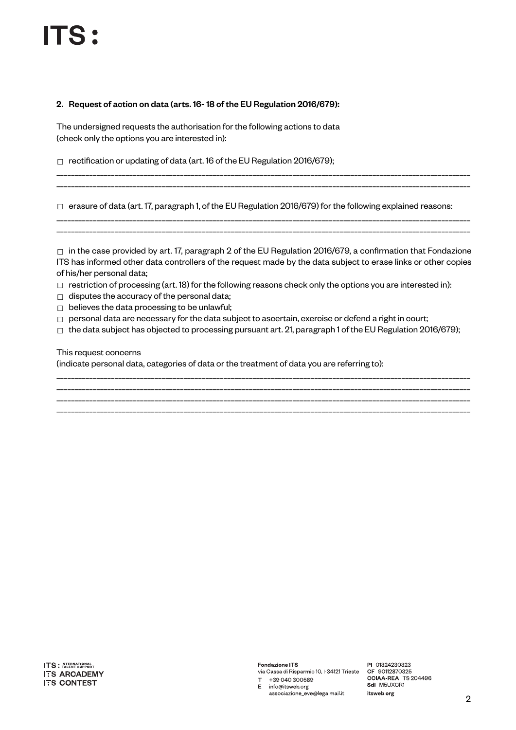#### 2. Request of action on data (arts. 16- 18 of the EU Regulation 2016/679):

The undersigned requests the authorisation for the following actions to data (check only the options you are interested in):

☐ rectification or updating of data (art. 16 of the EU Regulation 2016/679);

\_\_\_\_\_\_\_\_\_\_\_\_\_\_\_\_\_\_\_\_\_\_\_\_\_\_\_\_\_\_\_\_\_\_\_\_\_\_\_\_\_\_\_\_\_\_\_\_\_\_\_\_\_\_\_\_\_\_\_\_\_\_\_\_\_\_\_\_\_\_\_\_\_\_\_\_\_\_\_\_\_\_\_\_\_\_\_\_\_\_\_\_\_\_\_\_\_\_\_\_\_\_\_\_\_\_\_\_\_\_\_\_\_\_

\_\_\_\_\_\_\_\_\_\_\_\_\_\_\_\_\_\_\_\_\_\_\_\_\_\_\_\_\_\_\_\_\_\_\_\_\_\_\_\_\_\_\_\_\_\_\_\_\_\_\_\_\_\_\_\_\_\_\_\_\_\_\_\_\_\_\_\_\_\_\_\_\_\_\_\_\_\_\_\_\_\_\_\_\_\_\_\_\_\_\_\_\_\_\_\_\_\_\_\_\_\_\_\_\_\_\_\_\_\_\_\_\_\_

☐ erasure of data (art. 17, paragraph 1, of the EU Regulation 2016/679) for the following explained reasons:

\_\_\_\_\_\_\_\_\_\_\_\_\_\_\_\_\_\_\_\_\_\_\_\_\_\_\_\_\_\_\_\_\_\_\_\_\_\_\_\_\_\_\_\_\_\_\_\_\_\_\_\_\_\_\_\_\_\_\_\_\_\_\_\_\_\_\_\_\_\_\_\_\_\_\_\_\_\_\_\_\_\_\_\_\_\_\_\_\_\_\_\_\_\_\_\_\_\_\_\_\_\_\_\_\_\_\_\_\_\_\_\_\_\_ \_\_\_\_\_\_\_\_\_\_\_\_\_\_\_\_\_\_\_\_\_\_\_\_\_\_\_\_\_\_\_\_\_\_\_\_\_\_\_\_\_\_\_\_\_\_\_\_\_\_\_\_\_\_\_\_\_\_\_\_\_\_\_\_\_\_\_\_\_\_\_\_\_\_\_\_\_\_\_\_\_\_\_\_\_\_\_\_\_\_\_\_\_\_\_\_\_\_\_\_\_\_\_\_\_\_\_\_\_\_\_\_\_\_

 $\Box$  in the case provided by art. 17, paragraph 2 of the EU Regulation 2016/679, a confirmation that Fondazione ITS has informed other data controllers of the request made by the data subject to erase links or other copies of his/her personal data;

- $\Box$  restriction of processing (art. 18) for the following reasons check only the options you are interested in):
- $\Box$  disputes the accuracy of the personal data;
- ☐ believes the data processing to be unlawful;
- $\Box$  personal data are necessary for the data subject to ascertain, exercise or defend a right in court;
- $\Box$  the data subject has objected to processing pursuant art. 21, paragraph 1 of the EU Regulation 2016/679);

#### This request concerns

(indicate personal data, categories of data or the treatment of data you are referring to):

\_\_\_\_\_\_\_\_\_\_\_\_\_\_\_\_\_\_\_\_\_\_\_\_\_\_\_\_\_\_\_\_\_\_\_\_\_\_\_\_\_\_\_\_\_\_\_\_\_\_\_\_\_\_\_\_\_\_\_\_\_\_\_\_\_\_\_\_\_\_\_\_\_\_\_\_\_\_\_\_\_\_\_\_\_\_\_\_\_\_\_\_\_\_\_\_\_\_\_\_\_\_\_\_\_\_\_\_\_\_\_\_\_\_ \_\_\_\_\_\_\_\_\_\_\_\_\_\_\_\_\_\_\_\_\_\_\_\_\_\_\_\_\_\_\_\_\_\_\_\_\_\_\_\_\_\_\_\_\_\_\_\_\_\_\_\_\_\_\_\_\_\_\_\_\_\_\_\_\_\_\_\_\_\_\_\_\_\_\_\_\_\_\_\_\_\_\_\_\_\_\_\_\_\_\_\_\_\_\_\_\_\_\_\_\_\_\_\_\_\_\_\_\_\_\_\_\_\_ \_\_\_\_\_\_\_\_\_\_\_\_\_\_\_\_\_\_\_\_\_\_\_\_\_\_\_\_\_\_\_\_\_\_\_\_\_\_\_\_\_\_\_\_\_\_\_\_\_\_\_\_\_\_\_\_\_\_\_\_\_\_\_\_\_\_\_\_\_\_\_\_\_\_\_\_\_\_\_\_\_\_\_\_\_\_\_\_\_\_\_\_\_\_\_\_\_\_\_\_\_\_\_\_\_\_\_\_\_\_\_\_\_\_ \_\_\_\_\_\_\_\_\_\_\_\_\_\_\_\_\_\_\_\_\_\_\_\_\_\_\_\_\_\_\_\_\_\_\_\_\_\_\_\_\_\_\_\_\_\_\_\_\_\_\_\_\_\_\_\_\_\_\_\_\_\_\_\_\_\_\_\_\_\_\_\_\_\_\_\_\_\_\_\_\_\_\_\_\_\_\_\_\_\_\_\_\_\_\_\_\_\_\_\_\_\_\_\_\_\_\_\_\_\_\_\_\_\_

Fondazione ITS via Cassa di Risparmio 10, I-34121 Trieste

T +39 040 300589 E info@itsweb.org associazione\_eve@legalmail.it

PI 01324230323 CF 90112870325 CI SUNZURUSZU<br>CCIAA-REA TS 204496<br>Sdl M5UXCR1 itsweb.org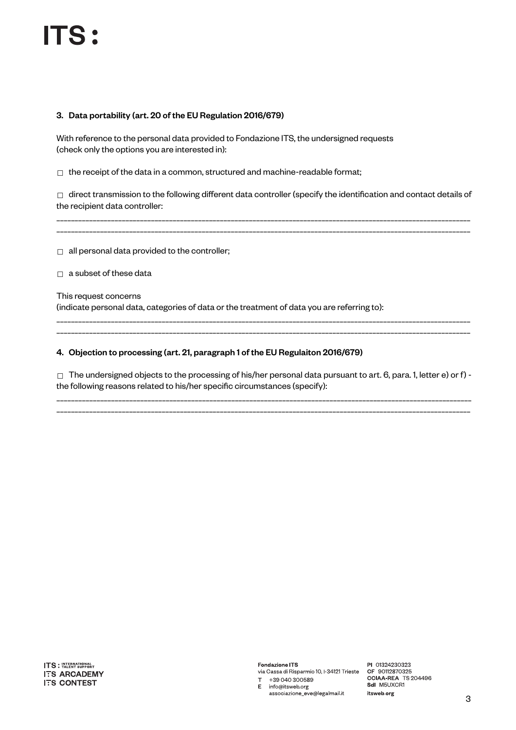## 3. Data portability (art. 20 of the EU Regulation 2016/679)

With reference to the personal data provided to Fondazione ITS, the undersigned requests (check only the options you are interested in):

 $\Box$  the receipt of the data in a common, structured and machine-readable format;

 $\Box$  direct transmission to the following different data controller (specify the identification and contact details of the recipient data controller:

\_\_\_\_\_\_\_\_\_\_\_\_\_\_\_\_\_\_\_\_\_\_\_\_\_\_\_\_\_\_\_\_\_\_\_\_\_\_\_\_\_\_\_\_\_\_\_\_\_\_\_\_\_\_\_\_\_\_\_\_\_\_\_\_\_\_\_\_\_\_\_\_\_\_\_\_\_\_\_\_\_\_\_\_\_\_\_\_\_\_\_\_\_\_\_\_\_\_\_\_\_\_\_\_\_\_\_\_\_\_\_\_\_\_ \_\_\_\_\_\_\_\_\_\_\_\_\_\_\_\_\_\_\_\_\_\_\_\_\_\_\_\_\_\_\_\_\_\_\_\_\_\_\_\_\_\_\_\_\_\_\_\_\_\_\_\_\_\_\_\_\_\_\_\_\_\_\_\_\_\_\_\_\_\_\_\_\_\_\_\_\_\_\_\_\_\_\_\_\_\_\_\_\_\_\_\_\_\_\_\_\_\_\_\_\_\_\_\_\_\_\_\_\_\_\_\_\_\_

 $\Box$  all personal data provided to the controller;

 $\Box$  a subset of these data

This request concerns (indicate personal data, categories of data or the treatment of data you are referring to):

#### 4. Objection to processing (art. 21, paragraph 1 of the EU Regulaiton 2016/679)

☐ The undersigned objects to the processing of his/her personal data pursuant to art. 6, para. 1, letter e) or f) the following reasons related to his/her specific circumstances (specify):

\_\_\_\_\_\_\_\_\_\_\_\_\_\_\_\_\_\_\_\_\_\_\_\_\_\_\_\_\_\_\_\_\_\_\_\_\_\_\_\_\_\_\_\_\_\_\_\_\_\_\_\_\_\_\_\_\_\_\_\_\_\_\_\_\_\_\_\_\_\_\_\_\_\_\_\_\_\_\_\_\_\_\_\_\_\_\_\_\_\_\_\_\_\_\_\_\_\_\_\_\_\_\_\_\_\_\_\_\_\_\_\_\_\_ \_\_\_\_\_\_\_\_\_\_\_\_\_\_\_\_\_\_\_\_\_\_\_\_\_\_\_\_\_\_\_\_\_\_\_\_\_\_\_\_\_\_\_\_\_\_\_\_\_\_\_\_\_\_\_\_\_\_\_\_\_\_\_\_\_\_\_\_\_\_\_\_\_\_\_\_\_\_\_\_\_\_\_\_\_\_\_\_\_\_\_\_\_\_\_\_\_\_\_\_\_\_\_\_\_\_\_\_\_\_\_\_\_\_

\_\_\_\_\_\_\_\_\_\_\_\_\_\_\_\_\_\_\_\_\_\_\_\_\_\_\_\_\_\_\_\_\_\_\_\_\_\_\_\_\_\_\_\_\_\_\_\_\_\_\_\_\_\_\_\_\_\_\_\_\_\_\_\_\_\_\_\_\_\_\_\_\_\_\_\_\_\_\_\_\_\_\_\_\_\_\_\_\_\_\_\_\_\_\_\_\_\_\_\_\_\_\_\_\_\_\_\_\_\_\_\_\_\_ \_\_\_\_\_\_\_\_\_\_\_\_\_\_\_\_\_\_\_\_\_\_\_\_\_\_\_\_\_\_\_\_\_\_\_\_\_\_\_\_\_\_\_\_\_\_\_\_\_\_\_\_\_\_\_\_\_\_\_\_\_\_\_\_\_\_\_\_\_\_\_\_\_\_\_\_\_\_\_\_\_\_\_\_\_\_\_\_\_\_\_\_\_\_\_\_\_\_\_\_\_\_\_\_\_\_\_\_\_\_\_\_\_\_

**ITS** : INTERNATIONAL **ITS ARCADEMY ITS CONTEST** 

Fondazione ITS via Cassa di Risparmio 10, I-34121 Trieste T +39 040 300589

E info@itsweb.org associazione\_eve@legalmail.it

PI 01324230323 CF 90112870325 CI SUNZURUSZU<br>CCIAA-REA TS 204496<br>Sdl M5UXCR1 itsweb.org